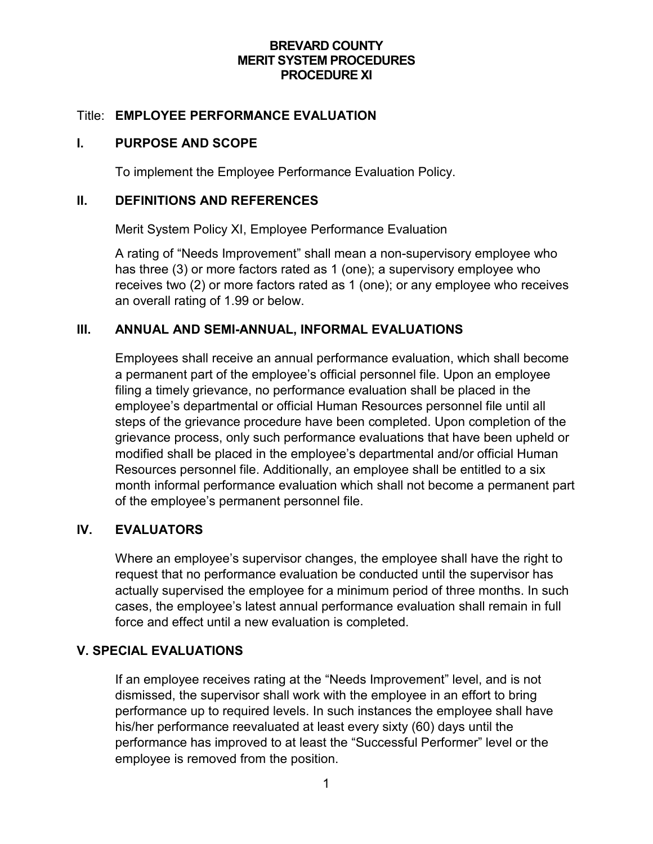### **BREVARD COUNTY MERIT SYSTEM PROCEDURES PROCEDURE XI**

### Title: **EMPLOYEE PERFORMANCE EVALUATION**

### **I. PURPOSE AND SCOPE**

To implement the Employee Performance Evaluation Policy.

#### **II. DEFINITIONS AND REFERENCES**

Merit System Policy XI, Employee Performance Evaluation

A rating of "Needs Improvement" shall mean a non-supervisory employee who has three (3) or more factors rated as 1 (one); a supervisory employee who receives two (2) or more factors rated as 1 (one); or any employee who receives an overall rating of 1.99 or below.

## **III. ANNUAL AND SEMI-ANNUAL, INFORMAL EVALUATIONS**

Employees shall receive an annual performance evaluation, which shall become a permanent part of the employee's official personnel file. Upon an employee filing a timely grievance, no performance evaluation shall be placed in the employee's departmental or official Human Resources personnel file until all steps of the grievance procedure have been completed. Upon completion of the grievance process, only such performance evaluations that have been upheld or modified shall be placed in the employee's departmental and/or official Human Resources personnel file. Additionally, an employee shall be entitled to a six month informal performance evaluation which shall not become a permanent part of the employee's permanent personnel file.

### **IV. EVALUATORS**

Where an employee's supervisor changes, the employee shall have the right to request that no performance evaluation be conducted until the supervisor has actually supervised the employee for a minimum period of three months. In such cases, the employee's latest annual performance evaluation shall remain in full force and effect until a new evaluation is completed.

### **V. SPECIAL EVALUATIONS**

If an employee receives rating at the "Needs Improvement" level, and is not dismissed, the supervisor shall work with the employee in an effort to bring performance up to required levels. In such instances the employee shall have his/her performance reevaluated at least every sixty (60) days until the performance has improved to at least the "Successful Performer" level or the employee is removed from the position.